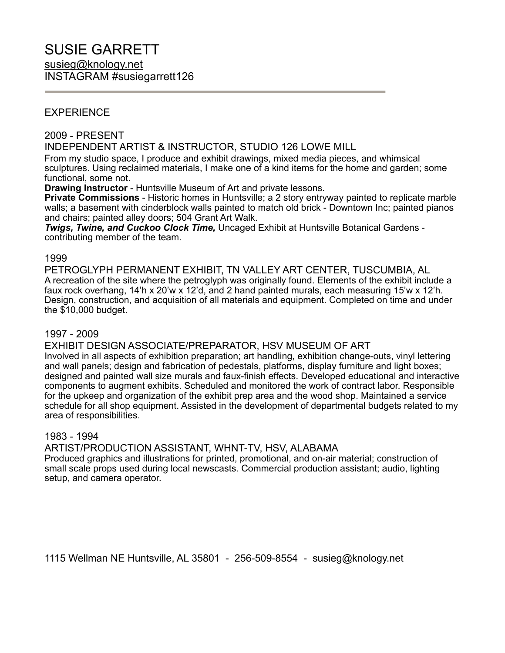### EXPERIENCE

#### 2009 - PRESENT

INDEPENDENT ARTIST & INSTRUCTOR, STUDIO 126 LOWE MILL

From my studio space, I produce and exhibit drawings, mixed media pieces, and whimsical sculptures. Using reclaimed materials, I make one of a kind items for the home and garden; some functional, some not.

**Drawing Instructor** - Huntsville Museum of Art and private lessons.

**Private Commissions** - Historic homes in Huntsville; a 2 story entryway painted to replicate marble walls; a basement with cinderblock walls painted to match old brick - Downtown Inc; painted pianos and chairs; painted alley doors; 504 Grant Art Walk.

*Twigs, Twine, and Cuckoo Clock Time,* Uncaged Exhibit at Huntsville Botanical Gardens contributing member of the team.

#### 1999

PETROGLYPH PERMANENT EXHIBIT, TN VALLEY ART CENTER, TUSCUMBIA, AL A recreation of the site where the petroglyph was originally found. Elements of the exhibit include a faux rock overhang, 14'h x 20'w x 12'd, and 2 hand painted murals, each measuring 15'w x 12'h. Design, construction, and acquisition of all materials and equipment. Completed on time and under the \$10,000 budget.

#### 1997 - 2009

EXHIBIT DESIGN ASSOCIATE/PREPARATOR, HSV MUSEUM OF ART

Involved in all aspects of exhibition preparation; art handling, exhibition change-outs, vinyl lettering and wall panels; design and fabrication of pedestals, platforms, display furniture and light boxes; designed and painted wall size murals and faux-finish effects. Developed educational and interactive components to augment exhibits. Scheduled and monitored the work of contract labor. Responsible for the upkeep and organization of the exhibit prep area and the wood shop. Maintained a service schedule for all shop equipment. Assisted in the development of departmental budgets related to my area of responsibilities.

#### 1983 - 1994

ARTIST/PRODUCTION ASSISTANT, WHNT-TV, HSV, ALABAMA

Produced graphics and illustrations for printed, promotional, and on-air material; construction of small scale props used during local newscasts. Commercial production assistant; audio, lighting setup, and camera operator.

1115 Wellman NE Huntsville, AL 35801 - 256-509-8554 - susieg@knology.net